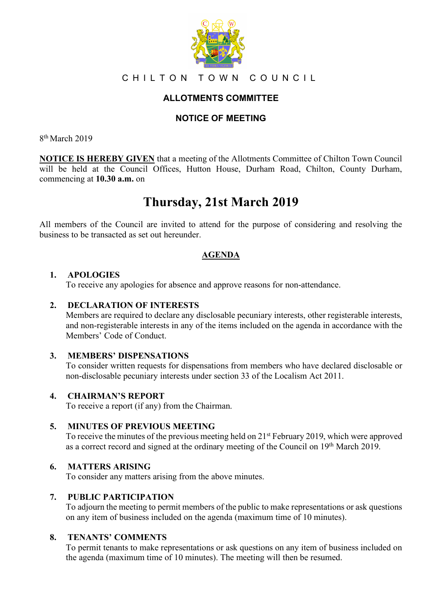

# CHILTON TOWN COUNCIL

# **ALLOTMENTS COMMITTEE**

# **NOTICE OF MEETING**

8th March 2019

**NOTICE IS HEREBY GIVEN** that a meeting of the Allotments Committee of Chilton Town Council will be held at the Council Offices, Hutton House, Durham Road, Chilton, County Durham, commencing at **10.30 a.m.** on

# **Thursday, 21st March 2019**

All members of the Council are invited to attend for the purpose of considering and resolving the business to be transacted as set out hereunder.

# **AGENDA**

# **1. APOLOGIES**

To receive any apologies for absence and approve reasons for non-attendance.

#### **2. DECLARATION OF INTERESTS**

Members are required to declare any disclosable pecuniary interests, other registerable interests, and non-registerable interests in any of the items included on the agenda in accordance with the Members' Code of Conduct.

#### **3. MEMBERS' DISPENSATIONS**

To consider written requests for dispensations from members who have declared disclosable or non-disclosable pecuniary interests under section 33 of the Localism Act 2011.

#### **4. CHAIRMAN'S REPORT**

To receive a report (if any) from the Chairman.

# **5. MINUTES OF PREVIOUS MEETING**

To receive the minutes of the previous meeting held on 21st February 2019, which were approved as a correct record and signed at the ordinary meeting of the Council on 19th March 2019.

# **6. MATTERS ARISING**

To consider any matters arising from the above minutes.

# **7. PUBLIC PARTICIPATION**

To adjourn the meeting to permit members of the public to make representations or ask questions on any item of business included on the agenda (maximum time of 10 minutes).

#### **8. TENANTS' COMMENTS**

To permit tenants to make representations or ask questions on any item of business included on the agenda (maximum time of 10 minutes). The meeting will then be resumed.